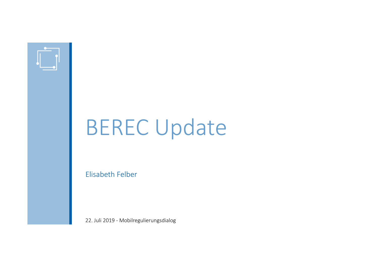

## BEREC Update

Elisabeth Felber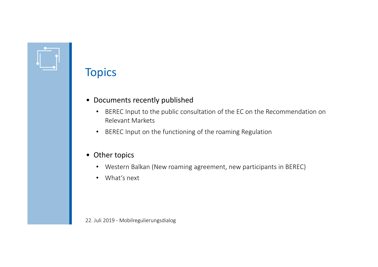### **Topics**

- Documents recently published
	- BEREC Input to the public consultation of the EC on the Recommendation on Relevant Markets
	- $\bullet$ BEREC Input on the functioning of the roaming Regulation
- Other topics
	- Western Balkan (New roaming agreement, new participants in BEREC)
	- What's next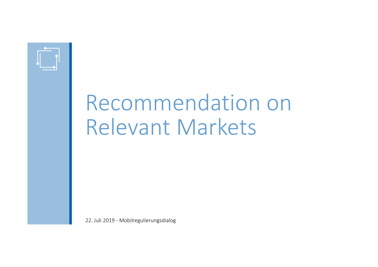

## Recommendationn on Relevant Markets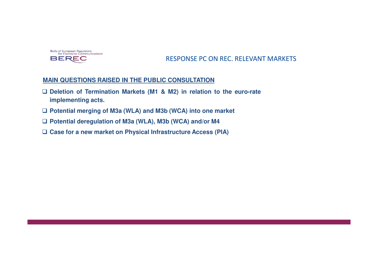

#### RESPONSE PC ON REC. RELEVANT MARKETS

#### **MAIN QUESTIONS RAISED IN THE PUBLIC CONSULTATION**

- □ Deletion of Termination Markets (M1 & M2) in relation to the euro-rate **implementing acts.**
- **Potential merging of M3a (WLA) and M3b (WCA) into one market**
- **Potential deregulation of M3a (WLA), M3b (WCA) and/or M4**
- **Case for <sup>a</sup> new market on Physical Infrastructure Access (PIA)**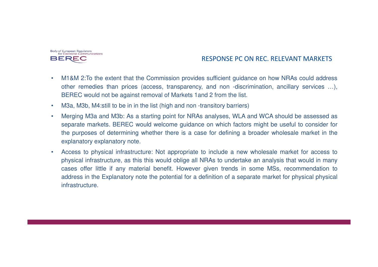

#### RESPONSE PC ON REC. RELEVANT MARKETS

- • M1&M 2:To the extent that the Commission provides sufficient guidance on how NRAs could address other remedies than prices (access, transparency, and non -discrimination, ancillary services …), BEREC would not be against removal of Markets 1and 2 from the list.
- •M3a, M3b, M4:still to be in in the list (high and non -transitory barriers)
- • Merging M3a and M3b: As <sup>a</sup> starting point for NRAs analyses, WLA and WCA should be assessed as separate markets. BEREC would welcome guidance on which factors might be useful to consider forthe purposes of determining whether there is <sup>a</sup> case for defining <sup>a</sup> broader wholesale market in theexplanatory explanatory note.
- • Access to physical infrastructure: Not appropriate to include <sup>a</sup> new wholesale market for access to physical infrastructure, as this this would oblige all NRAs to undertake an analysis that would in many cases offer little if any material benefit. However given trends in some MSs, recommendation to address in the Explanatory note the potential for <sup>a</sup> definition of <sup>a</sup> separate market for physical physical infrastructure.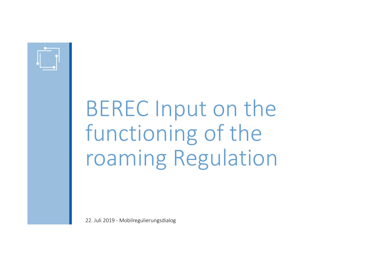

# BEREC Input on thefunctioning of theroaming Regulation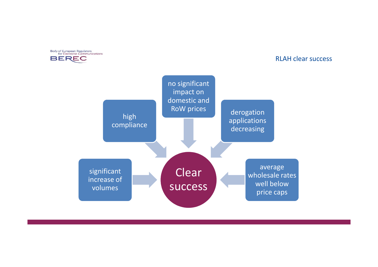

#### RLAH clear success

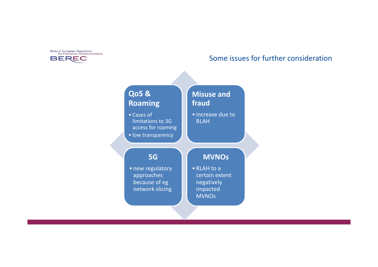

#### Some issues for further consideration

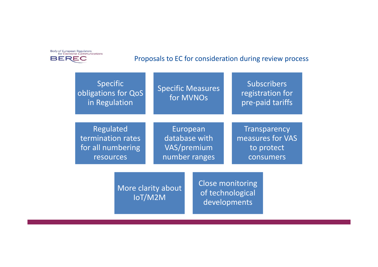

#### Proposals to EC for consideration during review process

| Specific<br>obligations for QoS<br>in Regulation | <b>Specific Measures</b><br>for MVNOs | <b>Subscribers</b><br>registration for<br>pre-paid tariffs |
|--------------------------------------------------|---------------------------------------|------------------------------------------------------------|
| Regulated                                        | European                              | Transparency                                               |
| termination rates                                | database with                         | measures for VAS                                           |
| for all numbering                                | VAS/premium                           | to protect                                                 |
| resources                                        | number ranges                         | consumers                                                  |

More clarity about IoT/M2M

Close monitoring of technological developments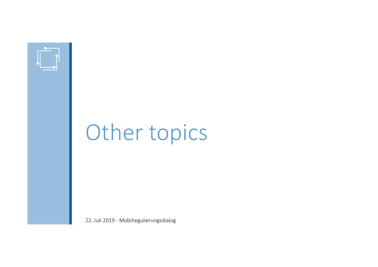

## Other topics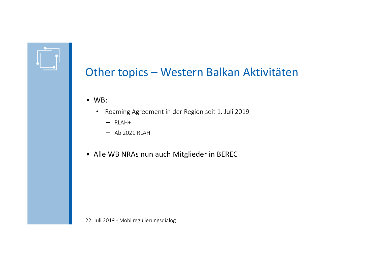### Other topics – Western Balkan Aktivitäten

- WB:
	- Roaming Agreement in der Region seit 1. Juli 2019
		- − RLAH+
		- − Ab 2021 RLAH
- Alle WB NRAs nun auch Mitglieder in BEREC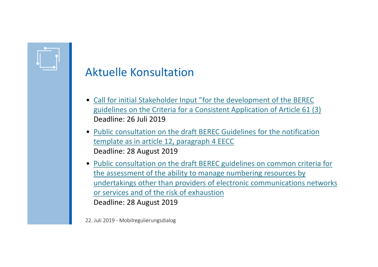

- Call for initial Stakeholder Input "for the development of the BEREC guidelines on the Criteria for a Consistent Application of Article 61 (3)Deadline: 26 Juli <sup>2019</sup>
- Public consultation on the draft BEREC Guidelines for the notification template as in article 12, paragraph 4 EECCDeadline: 28 August 2019
- Public consultation on the draft BEREC guidelines on common criteria for the assessment of the ability to manage numbering resources by undertakings other than providers of electronic communications networks or services and of the risk of exhaustionDeadline: 28 August 2019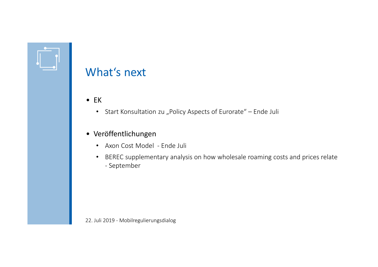

### What's next

- EK
	- Start Konsultation zu "Policy Aspects of Eurorate" Ende Juli

### • Veröffentlichungen

- Axon Cost Model Ende Juli
- BEREC supplementary analysis on how wholesale roaming costs and prices relate - September